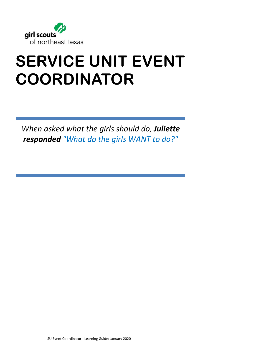

# **SERVICE UNIT EVENT COORDINATOR**

*When asked what the girls should do, Juliette responded "What do the girls WANT to do?"*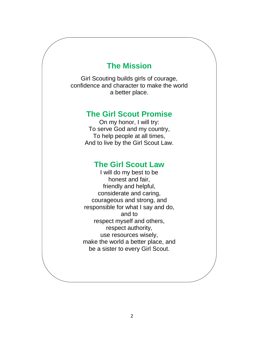### **The Mission**

Girl Scouting builds girls of courage, confidence and character to make the world a better place.

### **The Girl Scout Promise**

On my honor, I will try: To serve God and my country, To help people at all times, And to live by the Girl Scout Law.

### **The Girl Scout Law**

I will do my best to be honest and fair, friendly and helpful, considerate and caring, courageous and strong, and responsible for what I say and do, and to respect myself and others, respect authority, use resources wisely, make the world a better place, and be a sister to every Girl Scout.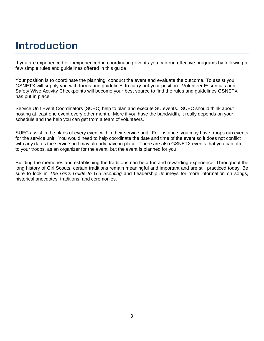### **Introduction**

If you are experienced or inexperienced in coordinating events you can run effective programs by following a few simple rules and guidelines offered in this guide.

Your position is to coordinate the planning, conduct the event and evaluate the outcome. To assist you; GSNETX will supply you with forms and guidelines to carry out your position. Volunteer Essentials and Safety Wise Activity Checkpoints will become your best source to find the rules and guidelines GSNETX has put in place.

Service Unit Event Coordinators (SUEC) help to plan and execute SU events. SUEC should think about hosting at least one event every other month. More if you have the bandwidth, it really depends on your schedule and the help you can get from a team of volunteers.

SUEC assist in the plans of every event within their service unit. For instance, you may have troops run events for the service unit. You would need to help coordinate the date and time of the event so it does not conflict with any dates the service unit may already have in place. There are also GSNETX events that you can offer to your troops, as an organizer for the event, but the event is planned for you!

Building the memories and establishing the traditions can be a fun and rewarding experience. Throughout the long history of Girl Scouts, certain traditions remain meaningful and important and are still practiced today. Be sure to look in *The Girl's Guide to Girl Scouting* and Leadership Journeys for more information on songs, historical anecdotes, traditions, and ceremonies.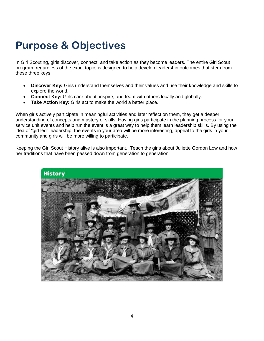### **Purpose & Objectives**

In Girl Scouting, girls discover, connect, and take action as they become leaders. The entire Girl Scout program, regardless of the exact topic, is designed to help develop leadership outcomes that stem from these three keys.

- **Discover Key:** Girls understand themselves and their values and use their knowledge and skills to explore the world.
- **Connect Key:** Girls care about, inspire, and team with others locally and globally.
- **Take Action Key:** Girls act to make the world a better place.

When girls actively participate in meaningful activities and later reflect on them, they get a deeper understanding of concepts and mastery of skills. Having girls participate in the planning process for your service unit events and help run the event is a great way to help them learn leadership skills. By using the idea of "girl led" leadership, the events in your area will be more interesting, appeal to the girls in your community and girls will be more willing to participate.

Keeping the Girl Scout History alive is also important. Teach the girls about Juliette Gordon Low and how her traditions that have been passed down from generation to generation.

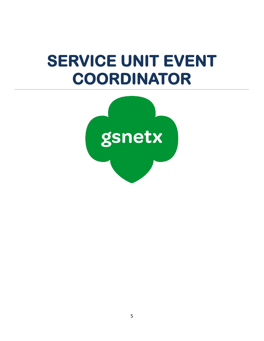# **SERVICE UNIT EVENT COORDINATOR**

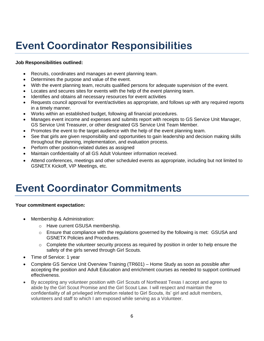### **Event Coordinator Responsibilities**

#### **Job Responsibilities outlined:**

- Recruits, coordinates and manages an event planning team.
- Determines the purpose and value of the event.
- With the event planning team, recruits qualified persons for adequate supervision of the event.
- Locates and secures sites for events with the help of the event planning team.
- Identifies and obtains all necessary resources for event activities
- Requests council approval for event/activities as appropriate, and follows up with any required reports in a timely manner.
- Works within an established budget, following all financial procedures.
- Manages event income and expenses and submits report with receipts to GS Service Unit Manager, GS Service Unit Treasurer, or other designated GS Service Unit Team Member.
- Promotes the event to the target audience with the help of the event planning team.
- See that girls are given responsibility and opportunities to gain leadership and decision making skills throughout the planning, implementation, and evaluation process.
- Perform other position-related duties as assigned
- Maintain confidentiality of all GS Adult Volunteer information received.
- Attend conferences, meetings and other scheduled events as appropriate, including but not limited to GSNETX Kickoff, VIP Meetings, etc.

### **Event Coordinator Commitments**

#### **Your commitment expectation:**

- Membership & Administration:
	- o Have current GSUSA membership.
	- $\circ$  Ensure that compliance with the regulations governed by the following is met: GSUSA and GSNETX Policies and Procedures.
	- $\circ$  Complete the volunteer security process as required by position in order to help ensure the safety of the girls served through Girl Scouts.
- Time of Service: 1 year
- Complete GS Service Unit Overview Training (TR601) Home Study as soon as possible after accepting the position and Adult Education and enrichment courses as needed to support continued effectiveness.
- By accepting any volunteer position with Girl Scouts of Northeast Texas I accept and agree to abide by the Girl Scout Promise and the Girl Scout Law. I will respect and maintain the confidentiality of all privileged information related to Girl Scouts, its' girl and adult members, volunteers and staff to which I am exposed while serving as a Volunteer.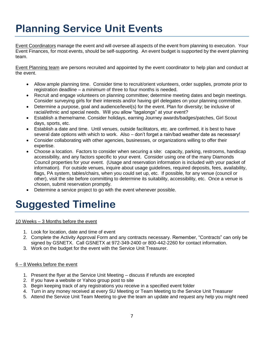# **Planning Service Unit Events**

Event Coordinators manage the event and will oversee all aspects of the event from planning to execution. Your Event Finances, for most events, should be self-supporting. An event budget is supported by the event planning team.

Event Planning team are persons recruited and appointed by the event coordinator to help plan and conduct at the event.

- Allow ample planning time. Consider time to recruit/orient volunteers, order supplies, promote prior to registration deadline – a *minimum* of three to four months is needed.
- Recruit and engage volunteers on planning committee; determine meeting dates and begin meetings. Consider surveying girls for their interests and/or having girl delegates on your planning committee.
- Determine a purpose, goal and audience/level(s) for the event. Plan for diversity; be inclusive of racial/ethnic and special needs. Will you allow "tagalongs" at your event?
- Establish a theme/name. Consider holidays, earning Journey awards/badges/patches, Girl Scout days, sports, etc.
- Establish a date and time. Until venues, outside facilitators, etc. are confirmed, it is best to have several date options with which to work. Also – don't forget a rain/bad weather date as necessary!
- Consider collaborating with other agencies, businesses, or organizations willing to offer their expertise.
- Choose a location. Factors to consider when securing a site: capacity, parking, restrooms, handicap accessibility, and any factors specific to your event. Consider using one of the many Diamonds Council properties for your event. (Usage and reservation information is included with your packet of information). For outside venues, inquire about usage guidelines, required deposits, fees, availability, flags, PA system, tables/chairs, when you could set up, etc. If possible, for any venue (council or other), visit the site before committing to determine its suitability, accessibility, etc. Once a venue is chosen, submit reservation promptly.
- Determine a service project to go with the event whenever possible.

### **Suggested Timeline**

#### 10 Weeks – 3 Months before the event

- 1. Look for location, date and time of event
- 2. Complete the Activity Approval Form and any contracts necessary. Remember, "Contracts" can only be signed by GSNETX. Call GSNETX at 972-349-2400 or 800-442-2260 for contact information.
- 3. Work on the budget for the event with the Service Unit Treasurer.

#### 6 – 8 Weeks before the event

- 1. Present the flyer at the Service Unit Meeting discuss if refunds are excepted
- 2. If you have a website or Yahoo group post to site
- 3. Begin keeping track of any registrations you receive in a specified event folder
- 4. Turn in any money received at every SU Meeting or Team Meeting to the Service Unit Treasurer
- 5. Attend the Service Unit Team Meeting to give the team an update and request any help you might need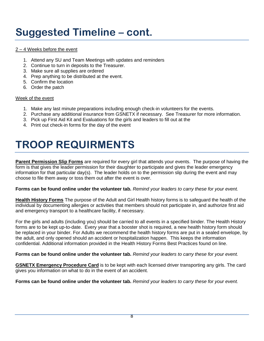### **Suggested Timeline – cont.**

#### 2 – 4 Weeks before the event

- 1. Attend any SU and Team Meetings with updates and reminders
- 2. Continue to turn in deposits to the Treasurer.
- 3. Make sure all supplies are ordered
- 4. Prep anything to be distributed at the event.
- 5. Confirm the location
- 6. Order the patch

#### Week of the event

- 1. Make any last minute preparations including enough check-in volunteers for the events.
- 2. Purchase any additional insurance from GSNETX if necessary. See Treasurer for more information.
- 3. Pick up First Aid Kit and Evaluations for the girls and leaders to fill out at the
- 4. Print out check-in forms for the day of the event

### **TROOP REQUIRMENTS**

**Parent Permission Slip Forms** are required for every girl that attends your events. The purpose of having the form is that gives the leader permission for their daughter to participate and gives the leader emergency information for that particular day(s). The leader holds on to the permission slip during the event and may choose to file them away or toss them out after the event is over.

**Forms can be found online under the volunteer tab.** *Remind your leaders to carry these for your event.*

**Health History Forms** The purpose of the Adult and Girl Health history forms is to safeguard the health of the individual by documenting allergies or activities that members should not participate in, and authorize first aid and emergency transport to a healthcare facility, if necessary.

For the girls and adults (including you) should be carried to all events in a specified binder. The Health History forms are to be kept up-to-date. Every year that a booster shot is required, a new health history form should be replaced in your binder. For Adults we recommend the health history forms are put in a sealed envelope, by the adult, and only opened should an accident or hospitalization happen. This keeps the information confidential. Additional information provided in the Health History Forms Best Practices found on line.

**Forms can be found online under the volunteer tab.** *Remind your leaders to carry these for your event.*

**GSNETX Emergency Procedure Card** is to be kept with each licensed driver transporting any girls. The card gives you information on what to do in the event of an accident.

**Forms can be found online under the volunteer tab.** *Remind your leaders to carry these for your event.*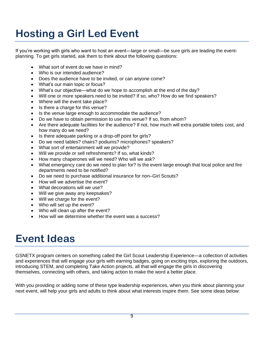# **Hosting a Girl Led Event**

If you're working with girls who want to host an event—large or small—be sure girls are leading the eventplanning. To get girls started, ask them to think about the following questions:

- What sort of event do we have in mind?
- Who is our intended audience?
- Does the audience have to be invited, or can anyone come?
- What's our main topic or focus?
- What's our objective—what do we hope to accomplish at the end of the day?
- Will one or more speakers need to be invited? If so, who? How do we find speakers?
- Where will the event take place?
- Is there a charge for this venue?
- Is the venue large enough to accommodate the audience?
- Do we have to obtain permission to use this venue? If so, from whom?
- Are there adequate facilities for the audience? If not, how much will extra portable toilets cost, and how many do we need?
- Is there adequate parking or a drop-off point for girls?
- Do we need tables? chairs? podiums? microphones? speakers?
- What sort of entertainment will we provide?
- Will we provide or sell refreshments? If so, what kinds?
- How many chaperones will we need? Who will we ask?
- What emergency care do we need to plan for? Is the event large enough that local police and fire departments need to be notified?
- Do we need to purchase additional insurance for non–Girl Scouts?
- How will we advertise the event?
- What decorations will we use?
- Will we give away any keepsakes?
- Will we charge for the event?
- Who will set up the event?
- Who will clean up after the event?
- How will we determine whether the event was a success?

### **Event Ideas**

GSNETX program centers on something called the Girl Scout Leadership Experience—a collection of activities and experiences that will engage your girls with earning badges, going on exciting trips, exploring the outdoors, introducing STEM, and completing Take Action projects, all that will engage the girls in discovering themselves, connecting with others, and taking action to make the word a better place.

With you providing or adding some of these type leadership experiences, when you think about planning your next event, will help your girls and adults to think about what interests inspire them. See some ideas below: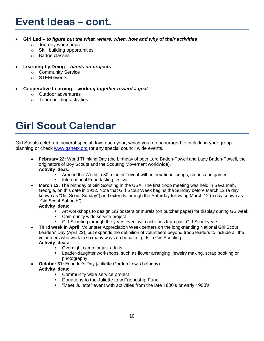- **Girl Led** *to figure out the what, where, when, how and why of their activities*
	- o Journey workshops
	- o Skill building opportunities
	- o Badge classes
- **Learning by Doing** *hands on projects*
	- o Community Service
	- o STEM events
- **Cooperative Learning** *– working together toward a goal*
	- o Outdoor adventures
	- o Team building activities

### **Girl Scout Calendar**

Girl Scouts celebrate several special days each year, which you're encouraged to include in your group planning or check [www.gsnetx.org](http://www.gsnetx.org/) for any special council wide events.

- **February 22:** World Thinking Day (the birthday of both Lord Baden-Powell and Lady Baden-Powell, the originators of Boy Scouts and the Scouting Movement worldwide). **Activity ideas:**
	- Around the World in 80 minutes" event with international songs, stories and games
	- **International Food tasting festival**
- **March 12:** The birthday of Girl Scouting in the USA. The first troop meeting was held in Savannah, Georgia, on this date in 1912. Note that Girl Scout Week begins the Sunday before March 12 (a day known as "Girl Scout Sunday") and extends through the Saturday following March 12 (a day known as "Girl Scout Sabbath").

#### **Activity ideas:**

- Art workshops to design GS posters or murals (on butcher paper) for display during GS week
- **Community wide service project**
- Girl Scouting through the years event with activities from past Girl Scout years
- **Third week in April:** Volunteer Appreciation Week centers on the long-standing National Girl Scout Leaders' Day (April 22), but expands the definition of volunteers beyond troop leaders to include all the volunteers who work in so many ways on behalf of girls in Girl Scouting. **Activity ideas:**
	- Overnight camp for just adults
	- Leader-daughter workshops, such as flower arranging, jewelry making, scrap booking or photography
- **October 31:** Founder's Day (Juliette Gordon Low's birthday) **Activity ideas:**
	- **Community wide service project**
	- Donations to the Juliette Low Friendship Fund
	- "Meet Juliette" event with activities from the late 1800's or early 1900's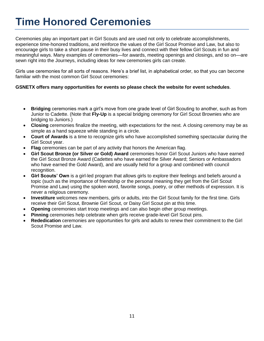### **Time Honored Ceremonies**

Ceremonies play an important part in Girl Scouts and are used not only to celebrate accomplishments, experience time-honored traditions, and reinforce the values of the Girl Scout Promise and Law, but also to encourage girls to take a short pause in their busy lives and connect with their fellow Girl Scouts in fun and meaningful ways. Many examples of ceremonies—for awards, meeting openings and closings, and so on—are sewn right into the Journeys, including ideas for new ceremonies girls can create.

Girls use ceremonies for all sorts of reasons. Here's a brief list, in alphabetical order, so that you can become familiar with the most common Girl Scout ceremonies:

#### **GSNETX offers many opportunities for events so please check the website for event schedules**.

- **Bridging** ceremonies mark a girl's move from one grade level of Girl Scouting to another, such as from Junior to Cadette. (Note that **Fly-Up** is a special bridging ceremony for Girl Scout Brownies who are bridging to Juniors.)
- **Closing** ceremonies finalize the meeting, with expectations for the next. A closing ceremony may be as simple as a hand squeeze while standing in a circle.
- **Court of Awards** is a time to recognize girls who have accomplished something spectacular during the Girl Scout year.
- **Flag** ceremonies can be part of any activity that honors the American flag.
- **Girl Scout Bronze (or Silver or Gold) Award** ceremonies honor Girl Scout Juniors who have earned the Girl Scout Bronze Award (Cadettes who have earned the Silver Award; Seniors or Ambassadors who have earned the Gold Award), and are usually held for a group and combined with council recognition.
- **Girl Scouts' Own** is a girl-led program that allows girls to explore their feelings and beliefs around a topic (such as the importance of friendship or the personal meaning they get from the Girl Scout Promise and Law) using the spoken word, favorite songs, poetry, or other methods of expression. It is never a religious ceremony.
- **Investiture** welcomes new members, girls or adults, into the Girl Scout family for the first time. Girls receive their Girl Scout, Brownie Girl Scout, or Daisy Girl Scout pin at this time.
- **Opening** ceremonies start troop meetings and can also begin other group meetings.
- **Pinning** ceremonies help celebrate when girls receive grade-level Girl Scout pins.
- **Rededication** ceremonies are opportunities for girls and adults to renew their commitment to the Girl Scout Promise and Law.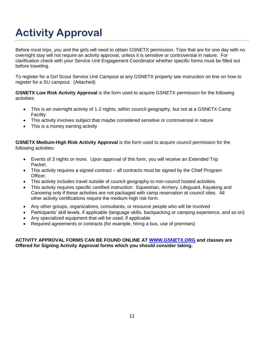## **Activity Approval**

Before most trips, you and the girls will need to obtain GSNETX permission. Trips that are for one day with no overnight stay will not require an activity approval, unless it is sensitive or controversial in nature. For clarification check with your Service Unit Engagement Coordinator whether specific forms must be filled out before traveling.

To register for a Girl Scout Service Unit Campout at any GSNETX property see instruction on line on how to register for a SU campout. (Attached)

**GSNETX Low Risk Activity Approval** is the form used to acquire GSNETX permission for the following activities:

- This is an overnight activity of 1-2 nights, within council geography, but not at a GSNETX Camp Facility
- This activity involves subject that maybe considered sensitive or controversial in nature
- This is a money earning activity

**GSNETX Medium-High Risk Activity Approval** is the form used to acquire council permission for the following activities:

- Events of 3 nights or more. Upon approval of this form, you will receive an Extended Trip Packet.
- This activity requires a signed contract all contracts must be signed by the Chief Program Officer.
- This activity includes travel outside of council geography to non-council hosted activities.
- This activity requires specific certified instruction: Equestrian, Archery, Lifeguard, Kayaking and Canoeing only if these activities are not packaged with camp reservation at council sites. All other activity certifications require the medium-high risk form.
- Any other groups, organizations, consultants, or resource people who will be involved
- Participants' skill levels, if applicable (language skills, backpacking or camping experience, and so on)
- Any specialized equipment that will be used, if applicable
- Required agreements or contracts (for example, hiring a bus, use of premises)

#### **ACTIVITY APPROVAL FORMS CAN BE FOUND ONLINE AT [WWW.GSNETX.ORG](http://www.gsnetx.org/) and classes are Offered for Signing Activity Approval forms which you should consider taking.**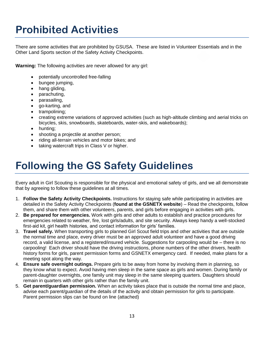### **Prohibited Activities**

There are some activities that are prohibited by GSUSA. These are listed in Volunteer Essentials and in the Other Land Sports section of the Safety Activity Checkpoints.

**Warning:** The following activities are never allowed for any girl:

- potentially uncontrolled free-falling
- bungee jumping,
- hang gliding,
- parachuting,
- parasailing,
- go-karting, and
- trampolining;
- creating extreme variations of approved activities (such as high-altitude climbing and aerial tricks on bicycles, skis, snowboards, skateboards, water-skis, and wakeboards);
- hunting:
- shooting a projectile at another person;
- riding all-terrain vehicles and motor bikes; and
- taking watercraft trips in Class V or higher.

### **Following the GS Safety Guidelines**

Every adult in Girl Scouting is responsible for the physical and emotional safety of girls, and we all demonstrate that by agreeing to follow these guidelines at all times.

- 1. **Follow the Safety Activity Checkpoints.** Instructions for staying safe while participating in activities are detailed in the Safety Activity Checkpoints (**found at the GSNETX website**) – Read the checkpoints, follow them, and share them with other volunteers, parents, and girls before engaging in activities with girls.
- 2. **Be prepared for emergencies.** Work with girls and other adults to establish and practice procedures for emergencies related to weather, fire, lost girls/adults, and site security. Always keep handy a well-stocked first-aid kit, girl health histories, and contact information for girls' families.
- 3. **Travel safely.** When transporting girls to planned Girl Scout field trips and other activities that are outside the normal time and place, every driver must be an approved adult volunteer and have a good driving record, a valid license, and a registered/insured vehicle. Suggestions for carpooling would be – there is no carpooling! Each driver should have the driving instructions, phone numbers of the other drivers, health history forms for girls, parent permission forms and GSNETX emergency card. If needed, make plans for a meeting spot along the way.
- 4. **Ensure safe overnight outings.** Prepare girls to be away from home by involving them in planning, so they know what to expect. Avoid having men sleep in the same space as girls and women. During family or parent-daughter overnights, one family unit may sleep in the same sleeping quarters. Daughters should remain in quarters with other girls rather than the family unit.
- 5. **Get parent/guardian permission.** When an activity takes place that is outside the normal time and place, advise each parent/guardian of the details of the activity and obtain permission for girls to participate. Parent permission slips can be found on line (attached)